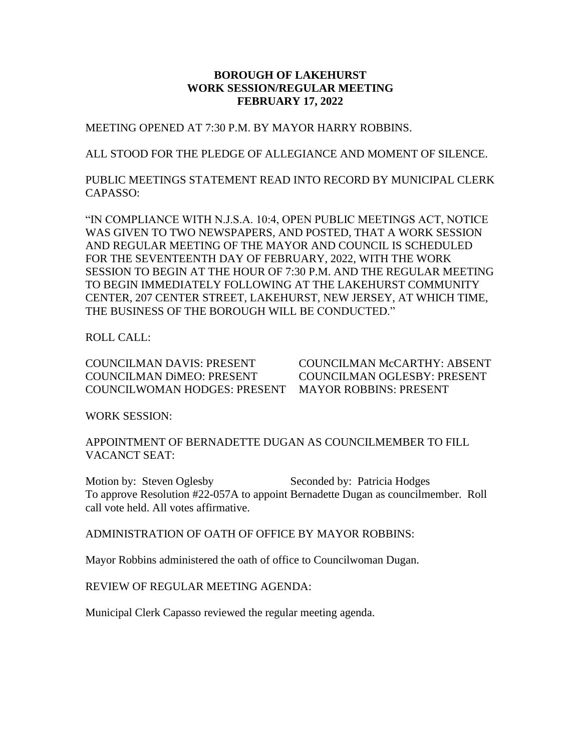#### **BOROUGH OF LAKEHURST WORK SESSION/REGULAR MEETING FEBRUARY 17, 2022**

MEETING OPENED AT 7:30 P.M. BY MAYOR HARRY ROBBINS.

ALL STOOD FOR THE PLEDGE OF ALLEGIANCE AND MOMENT OF SILENCE.

PUBLIC MEETINGS STATEMENT READ INTO RECORD BY MUNICIPAL CLERK CAPASSO:

"IN COMPLIANCE WITH N.J.S.A. 10:4, OPEN PUBLIC MEETINGS ACT, NOTICE WAS GIVEN TO TWO NEWSPAPERS, AND POSTED, THAT A WORK SESSION AND REGULAR MEETING OF THE MAYOR AND COUNCIL IS SCHEDULED FOR THE SEVENTEENTH DAY OF FEBRUARY, 2022, WITH THE WORK SESSION TO BEGIN AT THE HOUR OF 7:30 P.M. AND THE REGULAR MEETING TO BEGIN IMMEDIATELY FOLLOWING AT THE LAKEHURST COMMUNITY CENTER, 207 CENTER STREET, LAKEHURST, NEW JERSEY, AT WHICH TIME, THE BUSINESS OF THE BOROUGH WILL BE CONDUCTED."

ROLL CALL:

COUNCILMAN DAVIS: PRESENT COUNCILMAN McCARTHY: ABSENT COUNCILMAN DiMEO: PRESENT COUNCILMAN OGLESBY: PRESENT COUNCILWOMAN HODGES: PRESENT MAYOR ROBBINS: PRESENT

WORK SESSION:

APPOINTMENT OF BERNADETTE DUGAN AS COUNCILMEMBER TO FILL VACANCT SEAT:

Motion by: Steven Oglesby Seconded by: Patricia Hodges To approve Resolution #22-057A to appoint Bernadette Dugan as councilmember. Roll call vote held. All votes affirmative.

ADMINISTRATION OF OATH OF OFFICE BY MAYOR ROBBINS:

Mayor Robbins administered the oath of office to Councilwoman Dugan.

REVIEW OF REGULAR MEETING AGENDA:

Municipal Clerk Capasso reviewed the regular meeting agenda.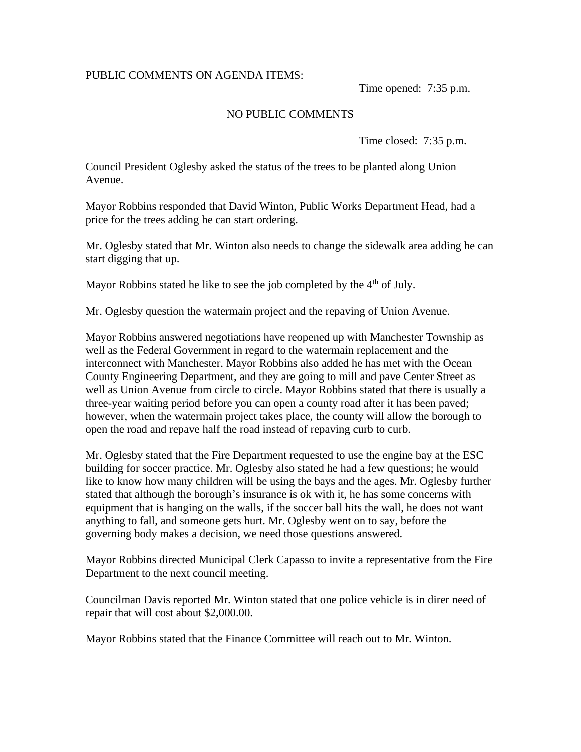### PUBLIC COMMENTS ON AGENDA ITEMS:

Time opened: 7:35 p.m.

### NO PUBLIC COMMENTS

Time closed: 7:35 p.m.

Council President Oglesby asked the status of the trees to be planted along Union Avenue.

Mayor Robbins responded that David Winton, Public Works Department Head, had a price for the trees adding he can start ordering.

Mr. Oglesby stated that Mr. Winton also needs to change the sidewalk area adding he can start digging that up.

Mayor Robbins stated he like to see the job completed by the  $4<sup>th</sup>$  of July.

Mr. Oglesby question the watermain project and the repaving of Union Avenue.

Mayor Robbins answered negotiations have reopened up with Manchester Township as well as the Federal Government in regard to the watermain replacement and the interconnect with Manchester. Mayor Robbins also added he has met with the Ocean County Engineering Department, and they are going to mill and pave Center Street as well as Union Avenue from circle to circle. Mayor Robbins stated that there is usually a three-year waiting period before you can open a county road after it has been paved; however, when the watermain project takes place, the county will allow the borough to open the road and repave half the road instead of repaving curb to curb.

Mr. Oglesby stated that the Fire Department requested to use the engine bay at the ESC building for soccer practice. Mr. Oglesby also stated he had a few questions; he would like to know how many children will be using the bays and the ages. Mr. Oglesby further stated that although the borough's insurance is ok with it, he has some concerns with equipment that is hanging on the walls, if the soccer ball hits the wall, he does not want anything to fall, and someone gets hurt. Mr. Oglesby went on to say, before the governing body makes a decision, we need those questions answered.

Mayor Robbins directed Municipal Clerk Capasso to invite a representative from the Fire Department to the next council meeting.

Councilman Davis reported Mr. Winton stated that one police vehicle is in direr need of repair that will cost about \$2,000.00.

Mayor Robbins stated that the Finance Committee will reach out to Mr. Winton.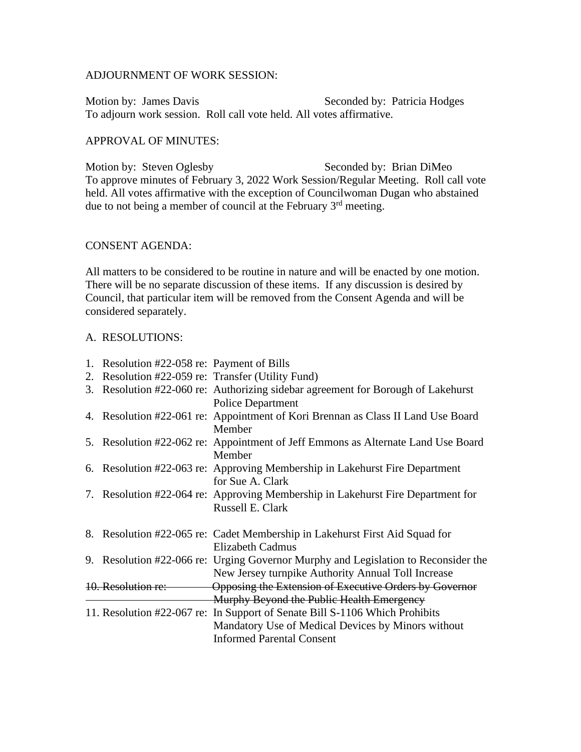#### ADJOURNMENT OF WORK SESSION:

Motion by: James Davis Seconded by: Patricia Hodges To adjourn work session. Roll call vote held. All votes affirmative.

#### APPROVAL OF MINUTES:

Motion by: Steven Oglesby Seconded by: Brian DiMeo To approve minutes of February 3, 2022 Work Session/Regular Meeting. Roll call vote held. All votes affirmative with the exception of Councilwoman Dugan who abstained due to not being a member of council at the February 3<sup>rd</sup> meeting.

#### CONSENT AGENDA:

All matters to be considered to be routine in nature and will be enacted by one motion. There will be no separate discussion of these items. If any discussion is desired by Council, that particular item will be removed from the Consent Agenda and will be considered separately.

#### A. RESOLUTIONS:

| 1. Resolution #22-058 re: Payment of Bills        |                                                                                    |
|---------------------------------------------------|------------------------------------------------------------------------------------|
| 2. Resolution #22-059 re: Transfer (Utility Fund) |                                                                                    |
|                                                   | 3. Resolution #22-060 re: Authorizing sidebar agreement for Borough of Lakehurst   |
|                                                   | <b>Police Department</b>                                                           |
|                                                   | 4. Resolution #22-061 re: Appointment of Kori Brennan as Class II Land Use Board   |
|                                                   | Member                                                                             |
|                                                   | 5. Resolution #22-062 re: Appointment of Jeff Emmons as Alternate Land Use Board   |
|                                                   | Member                                                                             |
|                                                   | 6. Resolution #22-063 re: Approving Membership in Lakehurst Fire Department        |
|                                                   | for Sue A. Clark                                                                   |
|                                                   | 7. Resolution #22-064 re: Approving Membership in Lakehurst Fire Department for    |
|                                                   | Russell E. Clark                                                                   |
|                                                   |                                                                                    |
|                                                   | 8. Resolution #22-065 re: Cadet Membership in Lake hurst First Aid Squad for       |
|                                                   | <b>Elizabeth Cadmus</b>                                                            |
|                                                   | 9. Resolution #22-066 re: Urging Governor Murphy and Legislation to Reconsider the |
|                                                   | New Jersey turnpike Authority Annual Toll Increase                                 |
| 10. Resolution re:                                | Opposing the Extension of Executive Orders by Governor                             |
|                                                   | Murphy Beyond the Public Health Emergency                                          |
|                                                   | 11. Resolution #22-067 re: In Support of Senate Bill S-1106 Which Prohibits        |
|                                                   | Mandatory Use of Medical Devices by Minors without                                 |
|                                                   | <b>Informed Parental Consent</b>                                                   |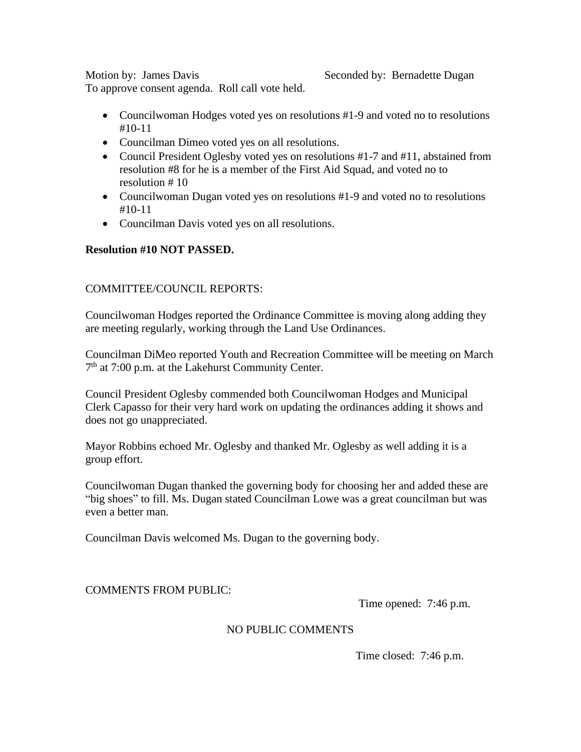Motion by: James Davis Seconded by: Bernadette Dugan

To approve consent agenda. Roll call vote held.

- Councilwoman Hodges voted yes on resolutions #1-9 and voted no to resolutions #10-11
- Councilman Dimeo voted yes on all resolutions.
- Council President Oglesby voted yes on resolutions #1-7 and #11, abstained from resolution #8 for he is a member of the First Aid Squad, and voted no to resolution # 10
- Councilwoman Dugan voted yes on resolutions #1-9 and voted no to resolutions #10-11
- Councilman Davis voted yes on all resolutions.

# **Resolution #10 NOT PASSED.**

## COMMITTEE/COUNCIL REPORTS:

Councilwoman Hodges reported the Ordinance Committee is moving along adding they are meeting regularly, working through the Land Use Ordinances.

Councilman DiMeo reported Youth and Recreation Committee will be meeting on March 7<sup>th</sup> at 7:00 p.m. at the Lakehurst Community Center.

Council President Oglesby commended both Councilwoman Hodges and Municipal Clerk Capasso for their very hard work on updating the ordinances adding it shows and does not go unappreciated.

Mayor Robbins echoed Mr. Oglesby and thanked Mr. Oglesby as well adding it is a group effort.

Councilwoman Dugan thanked the governing body for choosing her and added these are "big shoes" to fill. Ms. Dugan stated Councilman Lowe was a great councilman but was even a better man.

Councilman Davis welcomed Ms. Dugan to the governing body.

## COMMENTS FROM PUBLIC:

Time opened: 7:46 p.m.

## NO PUBLIC COMMENTS

Time closed: 7:46 p.m.